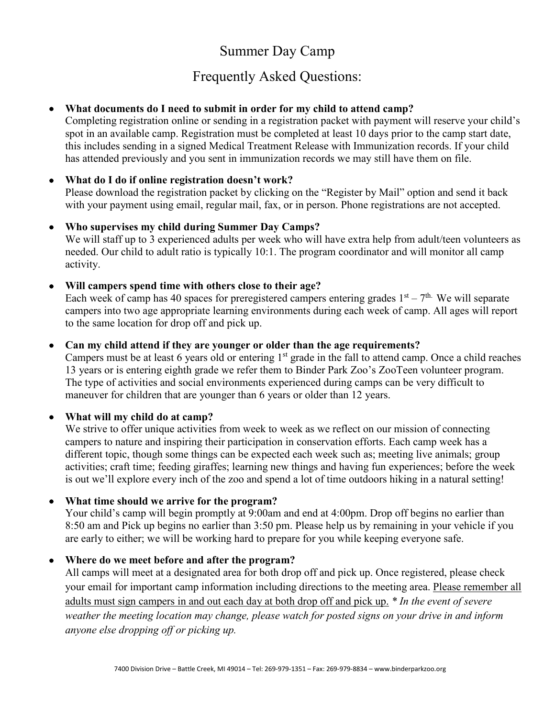## Summer Day Camp

# Frequently Asked Questions:

## • **What documents do I need to submit in order for my child to attend camp?**

Completing registration online or sending in a registration packet with payment will reserve your child's spot in an available camp. Registration must be completed at least 10 days prior to the camp start date, this includes sending in a signed Medical Treatment Release with Immunization records. If your child has attended previously and you sent in immunization records we may still have them on file.

## • **What do I do if online registration doesn't work?**

Please download the registration packet by clicking on the "Register by Mail" option and send it back with your payment using email, regular mail, fax, or in person. Phone registrations are not accepted.

## • **Who supervises my child during Summer Day Camps?**

We will staff up to 3 experienced adults per week who will have extra help from adult/teen volunteers as needed. Our child to adult ratio is typically 10:1. The program coordinator and will monitor all camp activity.

## • **Will campers spend time with others close to their age?**

Each week of camp has 40 spaces for preregistered campers entering grades  $1<sup>st</sup> - 7<sup>th</sup>$ . We will separate campers into two age appropriate learning environments during each week of camp. All ages will report to the same location for drop off and pick up.

## • **Can my child attend if they are younger or older than the age requirements?**

Campers must be at least 6 years old or entering  $1<sup>st</sup>$  grade in the fall to attend camp. Once a child reaches 13 years or is entering eighth grade we refer them to Binder Park Zoo's ZooTeen volunteer program. The type of activities and social environments experienced during camps can be very difficult to maneuver for children that are younger than 6 years or older than 12 years.

## • **What will my child do at camp?**

We strive to offer unique activities from week to week as we reflect on our mission of connecting campers to nature and inspiring their participation in conservation efforts. Each camp week has a different topic, though some things can be expected each week such as; meeting live animals; group activities; craft time; feeding giraffes; learning new things and having fun experiences; before the week is out we'll explore every inch of the zoo and spend a lot of time outdoors hiking in a natural setting!

## • **What time should we arrive for the program?**

Your child's camp will begin promptly at 9:00am and end at 4:00pm. Drop off begins no earlier than 8:50 am and Pick up begins no earlier than 3:50 pm. Please help us by remaining in your vehicle if you are early to either; we will be working hard to prepare for you while keeping everyone safe.

## • **Where do we meet before and after the program?**

All camps will meet at a designated area for both drop off and pick up. Once registered, please check your email for important camp information including directions to the meeting area. Please remember all adults must sign campers in and out each day at both drop off and pick up. *\* In the event of severe weather the meeting location may change, please watch for posted signs on your drive in and inform anyone else dropping off or picking up.*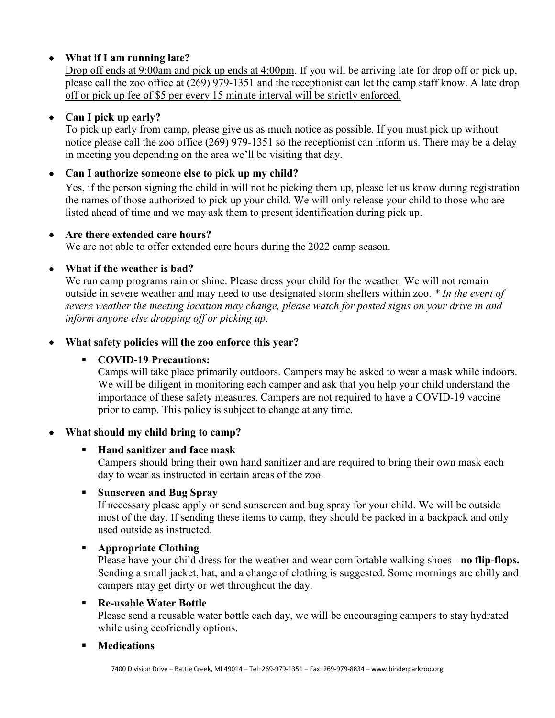## • **What if I am running late?**

Drop off ends at 9:00am and pick up ends at 4:00pm. If you will be arriving late for drop off or pick up, please call the zoo office at (269) 979-1351 and the receptionist can let the camp staff know. A late drop off or pick up fee of \$5 per every 15 minute interval will be strictly enforced.

## • **Can I pick up early?**

To pick up early from camp, please give us as much notice as possible. If you must pick up without notice please call the zoo office (269) 979-1351 so the receptionist can inform us. There may be a delay in meeting you depending on the area we'll be visiting that day.

## • **Can I authorize someone else to pick up my child?**

Yes, if the person signing the child in will not be picking them up, please let us know during registration the names of those authorized to pick up your child. We will only release your child to those who are listed ahead of time and we may ask them to present identification during pick up.

## • **Are there extended care hours?**

We are not able to offer extended care hours during the 2022 camp season.

## • **What if the weather is bad?**

We run camp programs rain or shine. Please dress your child for the weather. We will not remain outside in severe weather and may need to use designated storm shelters within zoo. *\* In the event of severe weather the meeting location may change, please watch for posted signs on your drive in and inform anyone else dropping off or picking up*.

## • **What safety policies will the zoo enforce this year?**

## **COVID-19 Precautions:**

Camps will take place primarily outdoors. Campers may be asked to wear a mask while indoors. We will be diligent in monitoring each camper and ask that you help your child understand the importance of these safety measures. Campers are not required to have a COVID-19 vaccine prior to camp. This policy is subject to change at any time.

## • **What should my child bring to camp?**

## **Hand sanitizer and face mask**

Campers should bring their own hand sanitizer and are required to bring their own mask each day to wear as instructed in certain areas of the zoo.

## **Sunscreen and Bug Spray**

If necessary please apply or send sunscreen and bug spray for your child. We will be outside most of the day. If sending these items to camp, they should be packed in a backpack and only used outside as instructed.

## **Appropriate Clothing**

Please have your child dress for the weather and wear comfortable walking shoes - **no flip-flops.**  Sending a small jacket, hat, and a change of clothing is suggested. Some mornings are chilly and campers may get dirty or wet throughout the day.

## **Re-usable Water Bottle**

Please send a reusable water bottle each day, we will be encouraging campers to stay hydrated while using ecofriendly options.

## **Medications**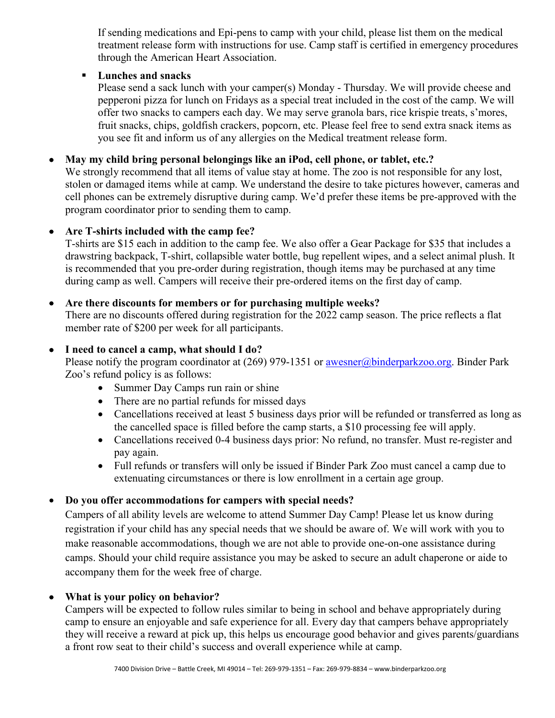If sending medications and Epi-pens to camp with your child, please list them on the medical treatment release form with instructions for use. Camp staff is certified in emergency procedures through the American Heart Association.

## **Lunches and snacks**

Please send a sack lunch with your camper(s) Monday - Thursday. We will provide cheese and pepperoni pizza for lunch on Fridays as a special treat included in the cost of the camp. We will offer two snacks to campers each day. We may serve granola bars, rice krispie treats, s'mores, fruit snacks, chips, goldfish crackers, popcorn, etc. Please feel free to send extra snack items as you see fit and inform us of any allergies on the Medical treatment release form.

#### • **May my child bring personal belongings like an iPod, cell phone, or tablet, etc.?**

We strongly recommend that all items of value stay at home. The zoo is not responsible for any lost, stolen or damaged items while at camp. We understand the desire to take pictures however, cameras and cell phones can be extremely disruptive during camp. We'd prefer these items be pre-approved with the program coordinator prior to sending them to camp.

#### • **Are T-shirts included with the camp fee?**

T-shirts are \$15 each in addition to the camp fee. We also offer a Gear Package for \$35 that includes a drawstring backpack, T-shirt, collapsible water bottle, bug repellent wipes, and a select animal plush. It is recommended that you pre-order during registration, though items may be purchased at any time during camp as well. Campers will receive their pre-ordered items on the first day of camp.

#### • **Are there discounts for members or for purchasing multiple weeks?**

There are no discounts offered during registration for the 2022 camp season. The price reflects a flat member rate of \$200 per week for all participants.

#### • **I need to cancel a camp, what should I do?**

Please notify the program coordinator at (269) 979-1351 or **awesner@binderparkzoo.org**. Binder Park Zoo's refund policy is as follows:

- Summer Day Camps run rain or shine
- There are no partial refunds for missed days
- Cancellations received at least 5 business days prior will be refunded or transferred as long as the cancelled space is filled before the camp starts, a \$10 processing fee will apply.
- Cancellations received 0-4 business days prior: No refund, no transfer. Must re-register and pay again.
- Full refunds or transfers will only be issued if Binder Park Zoo must cancel a camp due to extenuating circumstances or there is low enrollment in a certain age group.

## • **Do you offer accommodations for campers with special needs?**

Campers of all ability levels are welcome to attend Summer Day Camp! Please let us know during registration if your child has any special needs that we should be aware of. We will work with you to make reasonable accommodations, though we are not able to provide one-on-one assistance during camps. Should your child require assistance you may be asked to secure an adult chaperone or aide to accompany them for the week free of charge.

#### • **What is your policy on behavior?**

Campers will be expected to follow rules similar to being in school and behave appropriately during camp to ensure an enjoyable and safe experience for all. Every day that campers behave appropriately they will receive a reward at pick up, this helps us encourage good behavior and gives parents/guardians a front row seat to their child's success and overall experience while at camp.